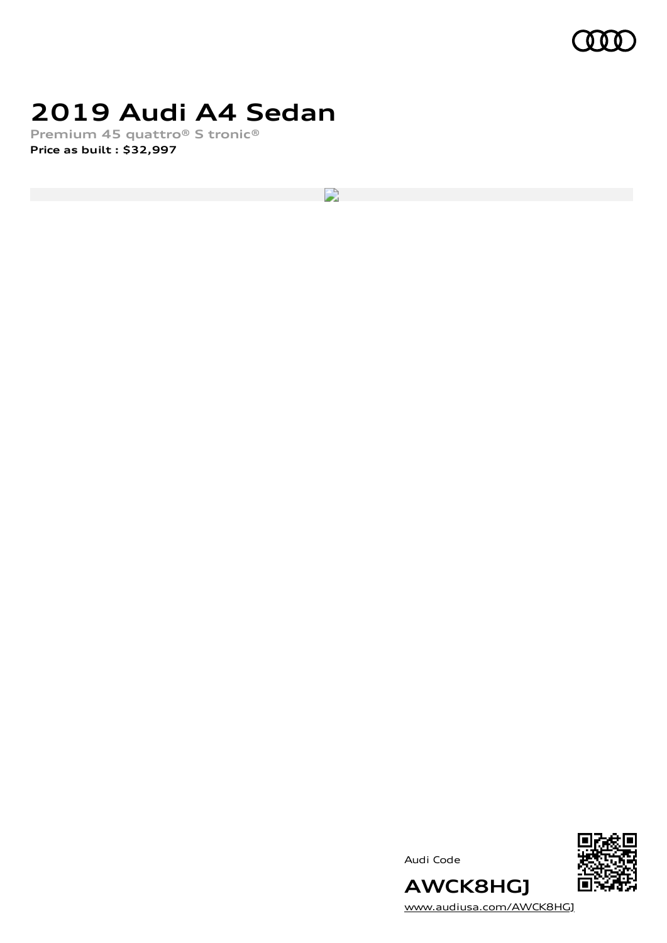

# **2019 Audi A4 Sedan**

**Premium 45 quattro® S tronic® Price as built [:](#page-10-0) \$32,997**

 $\overline{\phantom{a}}$ 





**AWCK8HGJ** [www.audiusa.com/AWCK8HGJ](https://www.audiusa.com/AWCK8HGJ)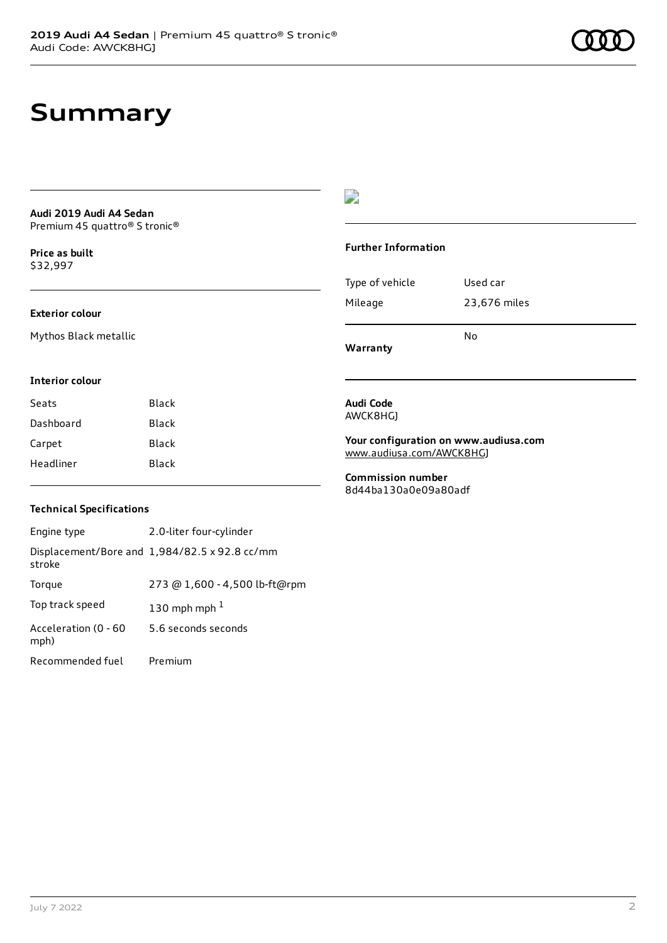# **Summary**

### **Audi 2019 Audi A4 Sedan** Premium 45 quattro® S tronic®

**Price as buil[t](#page-10-0)** \$32,997

### **Exterior colour**

Mythos Black metallic

### $\overline{\phantom{a}}$

### **Further Information**

|                 | N٥           |
|-----------------|--------------|
| Mileage         | 23,676 miles |
| Type of vehicle | Used car     |

**Warranty**

#### **Interior colour**

| Seats     | Black |
|-----------|-------|
| Dashboard | Black |
| Carpet    | Black |
| Headliner | Black |

#### **Audi Code** AWCK8HGJ

**Your configuration on www.audiusa.com** [www.audiusa.com/AWCK8HGJ](https://www.audiusa.com/AWCK8HGJ)

**Commission number** 8d44ba130a0e09a80adf

### **Technical Specifications**

| Engine type                  | 2.0-liter four-cylinder                       |
|------------------------------|-----------------------------------------------|
| stroke                       | Displacement/Bore and 1,984/82.5 x 92.8 cc/mm |
| Torque                       | 273 @ 1,600 - 4,500 lb-ft@rpm                 |
| Top track speed              | 130 mph mph $1$                               |
| Acceleration (0 - 60<br>mph) | 5.6 seconds seconds                           |
| Recommended fuel             | Premium                                       |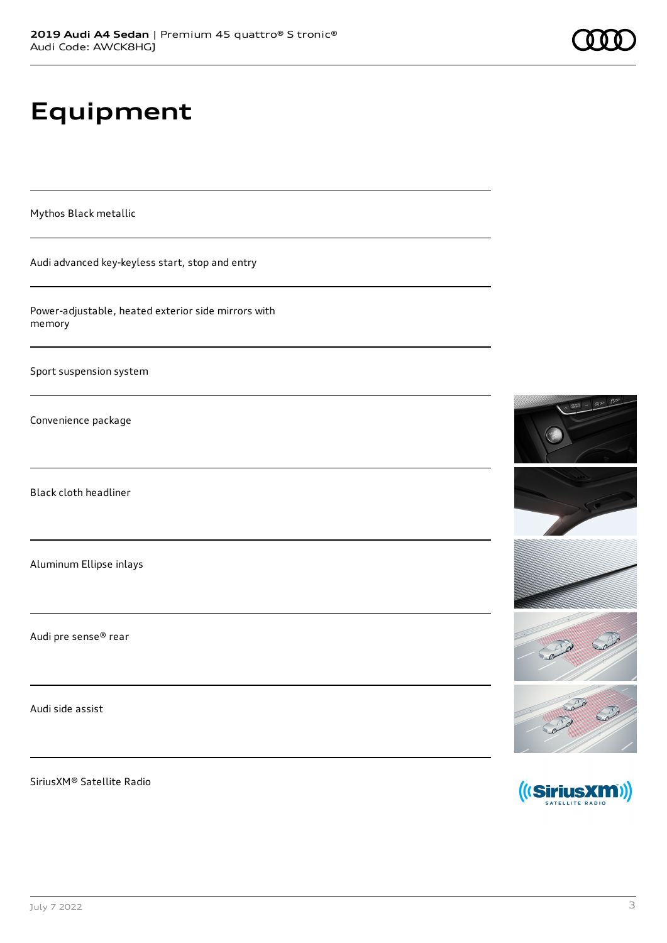**2019 Audi A4 Sedan** | Premium 45 quattro® S tronic®

# **Equipment**

Mythos Black metallic

Audi advanced key-keyless start, stop and entry

Power-adjustable, heated exterior side mirrors with memory

Sport suspension system

Convenience package

Black cloth headliner

Aluminum Ellipse inlays

Audi pre sense® rear

Audi side assist

SiriusXM® Satellite Radio



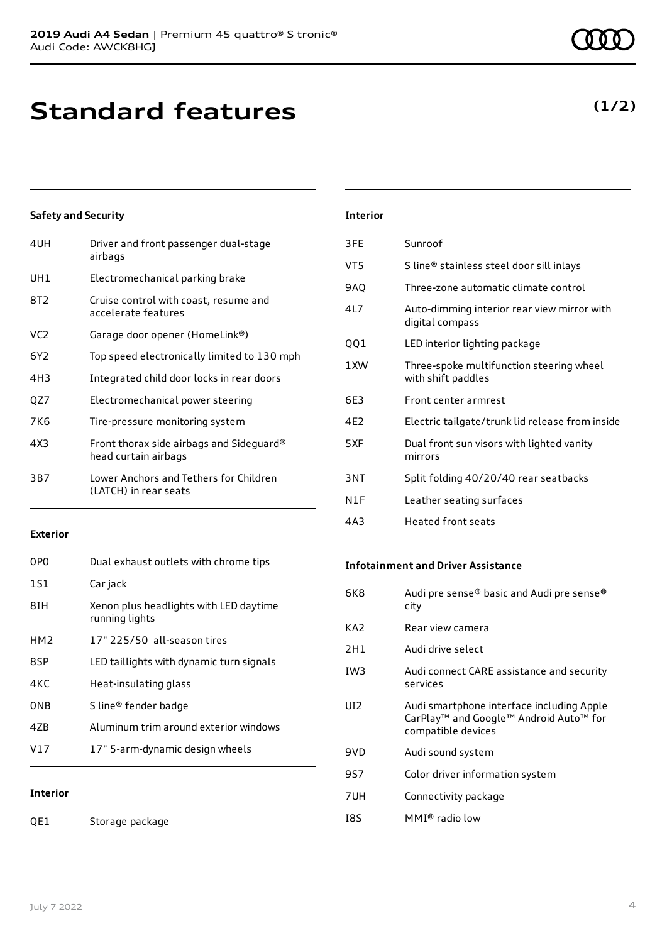# **Standard features**

### **Safety and Security**

| 4UH | Driver and front passenger dual-stage<br>airbags                 |
|-----|------------------------------------------------------------------|
| UH1 | Electromechanical parking brake                                  |
| 8T2 | Cruise control with coast, resume and<br>accelerate features     |
| VC2 | Garage door opener (HomeLink®)                                   |
| 6Y2 | Top speed electronically limited to 130 mph                      |
| 4H3 | Integrated child door locks in rear doors                        |
| QZ7 | Electromechanical power steering                                 |
| 7K6 | Tire-pressure monitoring system                                  |
| 4X3 | Front thorax side airbags and Sideguard®<br>head curtain airbags |
| 3B7 | Lower Anchors and Tethers for Children<br>(LATCH) in rear seats  |
|     |                                                                  |

### **Exterior**

| 0PO             | Dual exhaust outlets with chrome tips                    |
|-----------------|----------------------------------------------------------|
| 1S1             | Car jack                                                 |
| 8TH             | Xenon plus headlights with LED daytime<br>running lights |
| HM <sub>2</sub> | 17" 225/50 all-season tires                              |
| 8SP             | LED taillights with dynamic turn signals                 |
| 4KC             | Heat-insulating glass                                    |
| 0NB             | S line® fender badge                                     |
| 47B             | Aluminum trim around exterior windows                    |
| V17             | 17" 5-arm-dynamic design wheels                          |
|                 |                                                          |

**Interior**

QE1 Storage package

### **Interior**

| 3FE | Sunroof                                                        |
|-----|----------------------------------------------------------------|
| VT5 | S line® stainless steel door sill inlays                       |
| 9AQ | Three-zone automatic climate control                           |
| 4L7 | Auto-dimming interior rear view mirror with<br>digital compass |
| 001 | LED interior lighting package                                  |
| 1XW | Three-spoke multifunction steering wheel<br>with shift paddles |
| 6E3 | Front center armrest                                           |
| 4E2 | Electric tailgate/trunk lid release from inside                |
| 5XF | Dual front sun visors with lighted vanity<br>mirrors           |
| 3NT | Split folding 40/20/40 rear seatbacks                          |
| N1F | Leather seating surfaces                                       |
| 4A3 | <b>Heated front seats</b>                                      |

### **Infotainment and Driver Assistance**

| 6K8 | Audi pre sense® basic and Audi pre sense®<br>city                                                                                 |
|-----|-----------------------------------------------------------------------------------------------------------------------------------|
| KA2 | Rear view camera                                                                                                                  |
| 2H1 | Audi drive select                                                                                                                 |
| IW3 | Audi connect CARE assistance and security<br>services                                                                             |
| UI2 | Audi smartphone interface including Apple<br>CarPlay <sup>™</sup> and Google™ Android Auto <sup>™</sup> for<br>compatible devices |
| 9VD | Audi sound system                                                                                                                 |
| 9S7 | Color driver information system                                                                                                   |
| 7UH | Connectivity package                                                                                                              |
| 18S | $MMI®$ radio low                                                                                                                  |

### **(1/2)**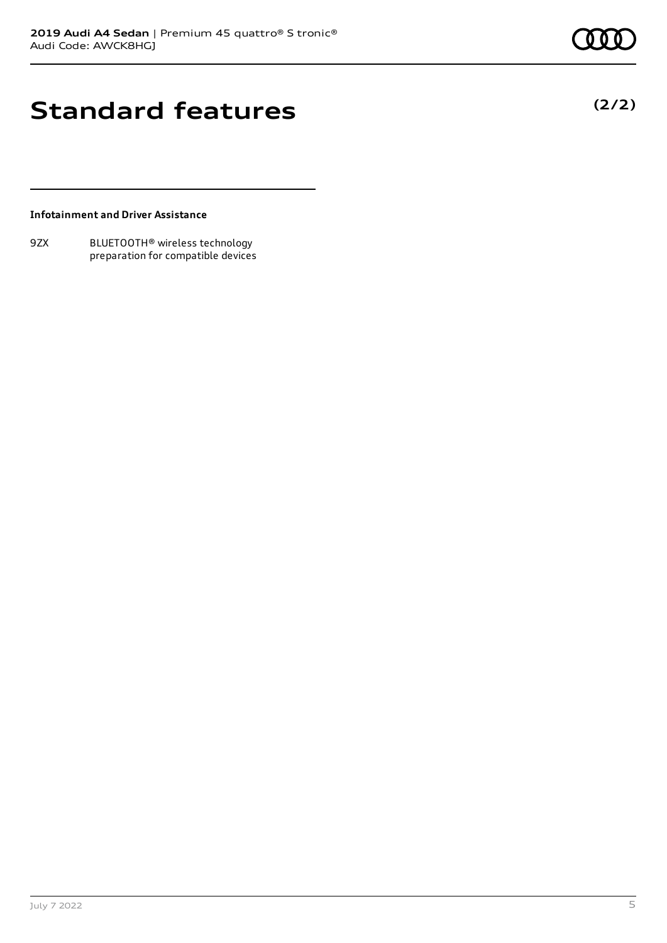## **Standard features**

**(2/2)**

### **Infotainment and Driver Assistance**

9ZX BLUETOOTH® wireless technology preparation for compatible devices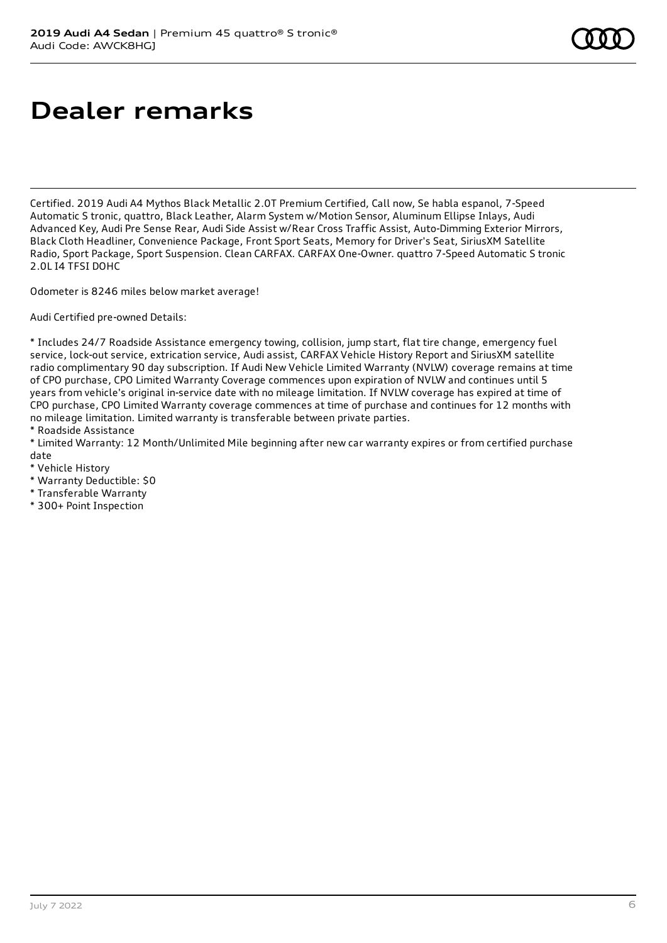# **Dealer remarks**

Certified. 2019 Audi A4 Mythos Black Metallic 2.0T Premium Certified, Call now, Se habla espanol, 7-Speed Automatic S tronic, quattro, Black Leather, Alarm System w/Motion Sensor, Aluminum Ellipse Inlays, Audi Advanced Key, Audi Pre Sense Rear, Audi Side Assist w/Rear Cross Traffic Assist, Auto-Dimming Exterior Mirrors, Black Cloth Headliner, Convenience Package, Front Sport Seats, Memory for Driver's Seat, SiriusXM Satellite Radio, Sport Package, Sport Suspension. Clean CARFAX. CARFAX One-Owner. quattro 7-Speed Automatic S tronic 2.0L I4 TFSI DOHC

Odometer is 8246 miles below market average!

Audi Certified pre-owned Details:

\* Includes 24/7 Roadside Assistance emergency towing, collision, jump start, flat tire change, emergency fuel service, lock-out service, extrication service, Audi assist, CARFAX Vehicle History Report and SiriusXM satellite radio complimentary 90 day subscription. If Audi New Vehicle Limited Warranty (NVLW) coverage remains at time of CPO purchase, CPO Limited Warranty Coverage commences upon expiration of NVLW and continues until 5 years from vehicle's original in-service date with no mileage limitation. If NVLW coverage has expired at time of CPO purchase, CPO Limited Warranty coverage commences at time of purchase and continues for 12 months with no mileage limitation. Limited warranty is transferable between private parties.

\* Roadside Assistance

\* Limited Warranty: 12 Month/Unlimited Mile beginning after new car warranty expires or from certified purchase date

- \* Vehicle History
- \* Warranty Deductible: \$0
- \* Transferable Warranty
- \* 300+ Point Inspection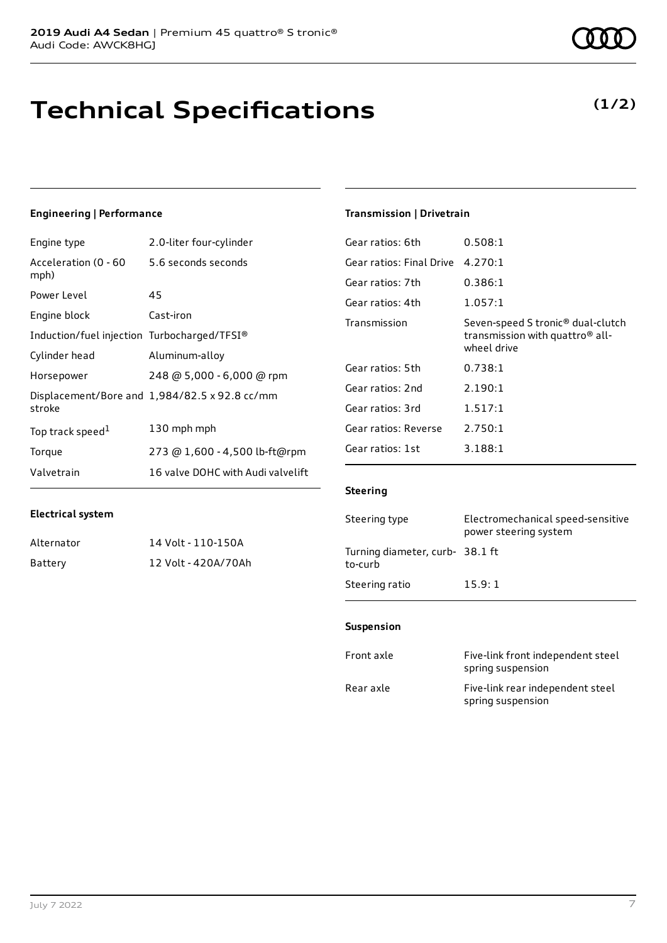# **Technical Specifications**

### **Engineering | Performance**

| Engine type                                 | 2.0-liter four-cylinder                       |
|---------------------------------------------|-----------------------------------------------|
| Acceleration (0 - 60<br>mph)                | 5.6 seconds seconds                           |
| Power Level                                 | 45                                            |
| Engine block                                | Cast-iron                                     |
| Induction/fuel injection Turbocharged/TFSI® |                                               |
| Cylinder head                               | Aluminum-alloy                                |
| Horsepower                                  | 248 @ 5,000 - 6,000 @ rpm                     |
| stroke                                      | Displacement/Bore and 1,984/82.5 x 92.8 cc/mm |
| Top track speed <sup>1</sup>                | 130 mph mph                                   |
| Torque                                      | 273 @ 1,600 - 4,500 lb-ft@rpm                 |
| Valvetrain                                  | 16 valve DOHC with Audi valvelift             |

### **Electrical system**

| Alternator | 14 Volt - 110-150A  |
|------------|---------------------|
| Battery    | 12 Volt - 420A/70Ah |

### **Transmission | Drivetrain**

| Gear ratios: 6th         | 0.508:1                                                                                                     |
|--------------------------|-------------------------------------------------------------------------------------------------------------|
| Gear ratios: Final Drive | 4.270:1                                                                                                     |
| Gear ratios: 7th         | 0.386:1                                                                                                     |
| Gear ratios: 4th         | 1.057:1                                                                                                     |
| Transmission             | Seven-speed S tronic <sup>®</sup> dual-clutch<br>transmission with quattro <sup>®</sup> all-<br>wheel drive |
| Gear ratios: 5th         | 0.738:1                                                                                                     |
| Gear ratios: 2nd         | 2.190:1                                                                                                     |
| Gear ratios: 3rd         | 1.517:1                                                                                                     |
| Gear ratios: Reverse     | 2.750:1                                                                                                     |
| Gear ratios: 1st         | 3.188:1                                                                                                     |
|                          |                                                                                                             |

### **Steering**

| Steering type                             | Electromechanical speed-sensitive<br>power steering system |
|-------------------------------------------|------------------------------------------------------------|
| Turning diameter, curb-38.1 ft<br>to-curb |                                                            |
| Steering ratio                            | 15.9:1                                                     |

### **Suspension**

| Front axle | Five-link front independent steel<br>spring suspension |
|------------|--------------------------------------------------------|
| Rear axle  | Five-link rear independent steel<br>spring suspension  |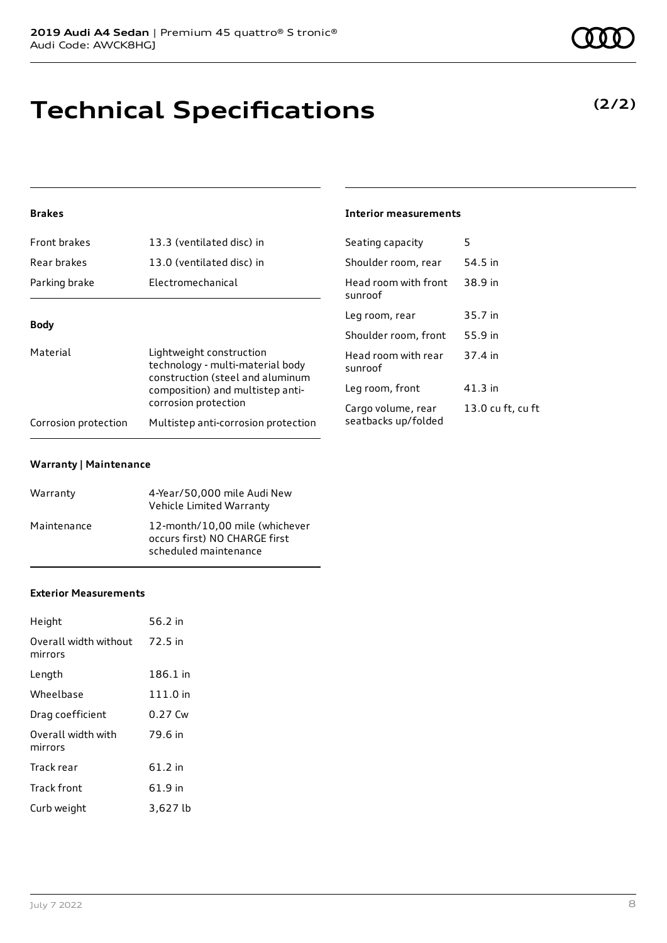# **Technical Specifications**

### **(2/2)**

### **Brakes**

| Front brakes         | 13.3 (ventilated disc) in                                                                                                                                    | Seating capacity                | 5       |
|----------------------|--------------------------------------------------------------------------------------------------------------------------------------------------------------|---------------------------------|---------|
| Rear brakes          | 13.0 (ventilated disc) in                                                                                                                                    | Shoulder room, rear             | 54.5 in |
| Parking brake        | Electromechanical                                                                                                                                            | Head room with front<br>sunroof | 38.9 in |
| <b>Body</b>          |                                                                                                                                                              | Leg room, rear                  | 35.7 in |
|                      |                                                                                                                                                              | Shoulder room, front            | 55.9 in |
| Material             | Lightweight construction<br>technology - multi-material body<br>construction (steel and aluminum<br>composition) and multistep anti-<br>corrosion protection | Head room with rear<br>sunroof  | 37.4 in |
|                      |                                                                                                                                                              | Leg room, front                 | 41.3 in |
|                      |                                                                                                                                                              | Cargo volume, rear              | 13.0 cu |
| Corrosion protection | Multistep anti-corrosion protection                                                                                                                          | seatbacks up/folded             |         |

**Interior measurements**

13.0 cu ft, cu ft

#### **Warranty | Maintenance**

| Warranty    | 4-Year/50,000 mile Audi New<br>Vehicle Limited Warranty                                  |
|-------------|------------------------------------------------------------------------------------------|
| Maintenance | 12-month/10,00 mile (whichever<br>occurs first) NO CHARGE first<br>scheduled maintenance |

#### **Exterior Measurements**

| Height                           | 56.2 in  |
|----------------------------------|----------|
| Overall width without<br>mirrors | 72.5 in  |
| Length                           | 186.1 in |
| Wheelbase                        | 111.0 in |
| Drag coefficient                 | 0.27 Cw  |
| Overall width with<br>mirrors    | 79.6 in  |
| Track rear                       | 61.2 in  |
| Track front                      | 61.9 in  |
| Curb weight                      | 3,627 lb |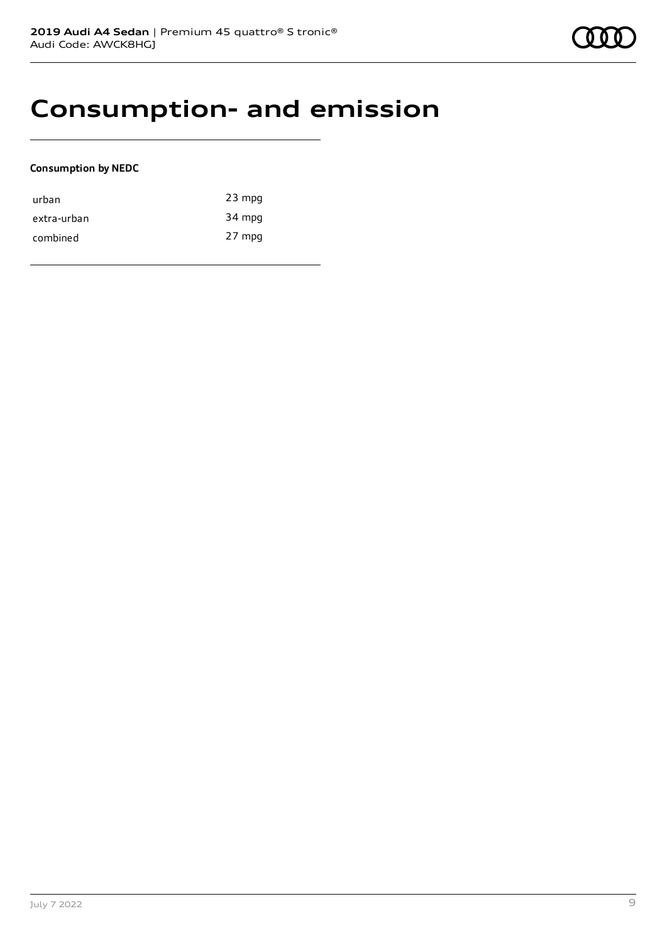## **Consumption- and emission**

### **Consumption by NEDC**

| urban       | $23$ mpg |
|-------------|----------|
| extra-urban | 34 mpg   |
| combined    | 27 mpg   |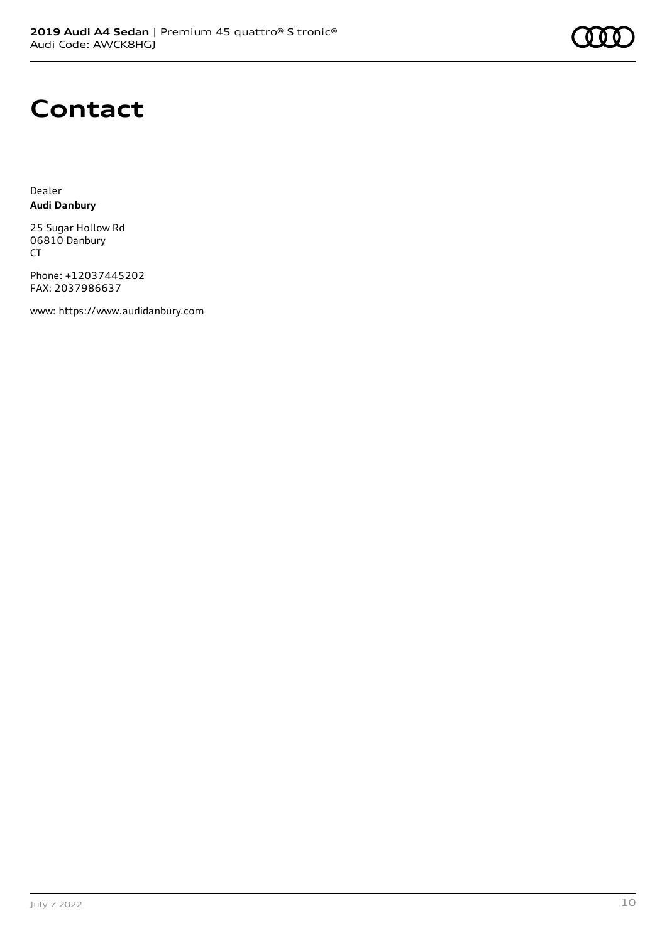

## **Contact**

Dealer **Audi Danbury**

25 Sugar Hollow Rd 06810 Danbury CT

Phone: +12037445202 FAX: 2037986637

www: [https://www.audidanbury.com](https://www.audidanbury.com/)